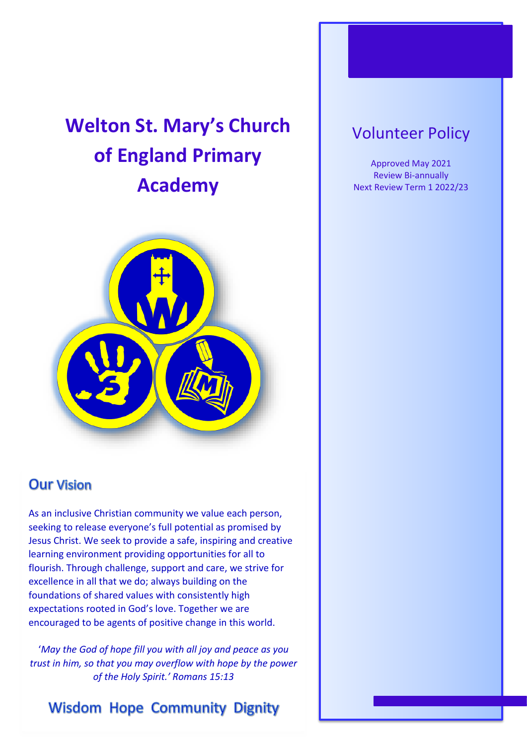# **Welton St. Mary's Church of England Primary Academy**



### **Our Vision**

As an inclusive Christian community we value each person, seeking to release everyone's full potential as promised by Jesus Christ. We seek to provide a safe, inspiring and creative learning environment providing opportunities for all to flourish. Through challenge, support and care, we strive for excellence in all that we do; always building on the foundations of shared values with consistently high expectations rooted in God's love. Together we are encouraged to be agents of positive change in this world.

'*May the God of hope fill you with all joy and peace as you trust in him, so that you may overflow with hope by the power of the Holy Spirit.' Romans 15:13*

## **Wisdom Hope Community Dignity**

# Volunteer Policy

Approved May 2021 Review Bi-annually Next Review Term 1 2022/23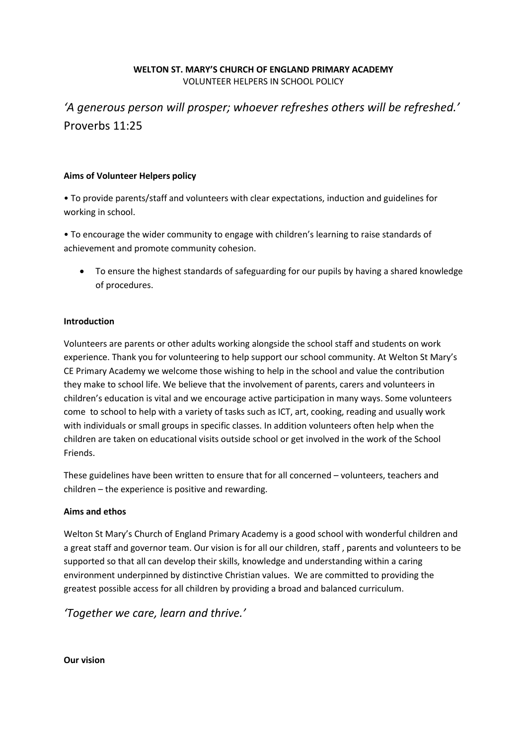#### **WELTON ST. MARY'S CHURCH OF ENGLAND PRIMARY ACADEMY**  VOLUNTEER HELPERS IN SCHOOL POLICY

### *'A generous person will prosper; whoever refreshes others will be refreshed.'*  Proverbs 11:25

#### **Aims of Volunteer Helpers policy**

• To provide parents/staff and volunteers with clear expectations, induction and guidelines for working in school.

• To encourage the wider community to engage with children's learning to raise standards of achievement and promote community cohesion.

• To ensure the highest standards of safeguarding for our pupils by having a shared knowledge of procedures.

#### **Introduction**

Volunteers are parents or other adults working alongside the school staff and students on work experience. Thank you for volunteering to help support our school community. At Welton St Mary's CE Primary Academy we welcome those wishing to help in the school and value the contribution they make to school life. We believe that the involvement of parents, carers and volunteers in children's education is vital and we encourage active participation in many ways. Some volunteers come to school to help with a variety of tasks such as ICT, art, cooking, reading and usually work with individuals or small groups in specific classes. In addition volunteers often help when the children are taken on educational visits outside school or get involved in the work of the School Friends.

These guidelines have been written to ensure that for all concerned – volunteers, teachers and children – the experience is positive and rewarding.

#### **Aims and ethos**

Welton St Mary's Church of England Primary Academy is a good school with wonderful children and a great staff and governor team. Our vision is for all our children, staff , parents and volunteers to be supported so that all can develop their skills, knowledge and understanding within a caring environment underpinned by distinctive Christian values. We are committed to providing the greatest possible access for all children by providing a broad and balanced curriculum.

*'Together we care, learn and thrive.'*

**Our vision**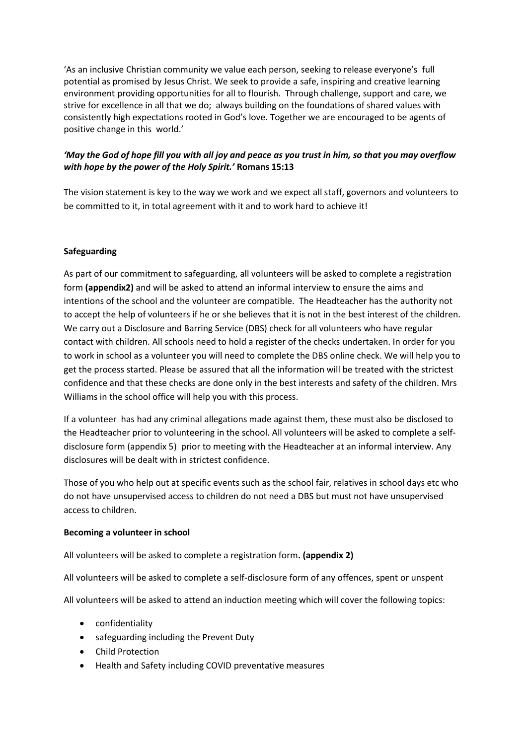'As an inclusive Christian community we value each person, seeking to release everyone's full potential as promised by Jesus Christ. We seek to provide a safe, inspiring and creative learning environment providing opportunities for all to flourish. Through challenge, support and care, we strive for excellence in all that we do; always building on the foundations of shared values with consistently high expectations rooted in God's love. Together we are encouraged to be agents of positive change in this world.'

#### *'May the God of hope fill you with all joy and peace as you trust in him, so that you may overflow with hope by the power of the Holy Spirit.'* **Romans 15:13**

The vision statement is key to the way we work and we expect all staff, governors and volunteers to be committed to it, in total agreement with it and to work hard to achieve it!

#### **Safeguarding**

As part of our commitment to safeguarding, all volunteers will be asked to complete a registration form **(appendix2)** and will be asked to attend an informal interview to ensure the aims and intentions of the school and the volunteer are compatible. The Headteacher has the authority not to accept the help of volunteers if he or she believes that it is not in the best interest of the children. We carry out a Disclosure and Barring Service (DBS) check for all volunteers who have regular contact with children. All schools need to hold a register of the checks undertaken. In order for you to work in school as a volunteer you will need to complete the DBS online check. We will help you to get the process started. Please be assured that all the information will be treated with the strictest confidence and that these checks are done only in the best interests and safety of the children. Mrs Williams in the school office will help you with this process.

If a volunteer has had any criminal allegations made against them, these must also be disclosed to the Headteacher prior to volunteering in the school. All volunteers will be asked to complete a selfdisclosure form (appendix 5) prior to meeting with the Headteacher at an informal interview. Any disclosures will be dealt with in strictest confidence.

Those of you who help out at specific events such as the school fair, relatives in school days etc who do not have unsupervised access to children do not need a DBS but must not have unsupervised access to children.

#### **Becoming a volunteer in school**

All volunteers will be asked to complete a registration form**. (appendix 2)**

All volunteers will be asked to complete a self-disclosure form of any offences, spent or unspent

All volunteers will be asked to attend an induction meeting which will cover the following topics:

- confidentiality
- safeguarding including the Prevent Duty
- Child Protection
- Health and Safety including COVID preventative measures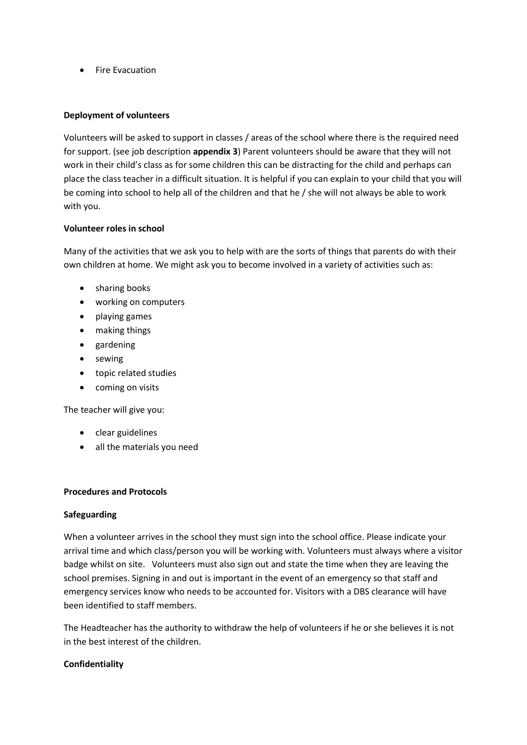• Fire Evacuation

#### **Deployment of volunteers**

Volunteers will be asked to support in classes / areas of the school where there is the required need for support. (see job description **appendix 3**) Parent volunteers should be aware that they will not work in their child's class as for some children this can be distracting for the child and perhaps can place the class teacher in a difficult situation. It is helpful if you can explain to your child that you will be coming into school to help all of the children and that he / she will not always be able to work with you.

#### **Volunteer roles in school**

Many of the activities that we ask you to help with are the sorts of things that parents do with their own children at home. We might ask you to become involved in a variety of activities such as:

- sharing books
- working on computers
- playing games
- making things
- gardening
- sewing
- topic related studies
- coming on visits

The teacher will give you:

- clear guidelines
- all the materials you need

#### **Procedures and Protocols**

#### **Safeguarding**

When a volunteer arrives in the school they must sign into the school office. Please indicate your arrival time and which class/person you will be working with. Volunteers must always where a visitor badge whilst on site. Volunteers must also sign out and state the time when they are leaving the school premises. Signing in and out is important in the event of an emergency so that staff and emergency services know who needs to be accounted for. Visitors with a DBS clearance will have been identified to staff members.

The Headteacher has the authority to withdraw the help of volunteers if he or she believes it is not in the best interest of the children.

#### **Confidentiality**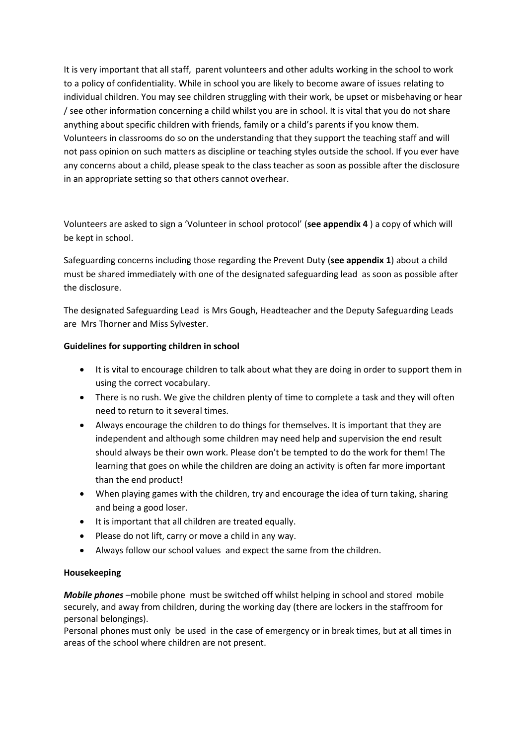It is very important that all staff, parent volunteers and other adults working in the school to work to a policy of confidentiality. While in school you are likely to become aware of issues relating to individual children. You may see children struggling with their work, be upset or misbehaving or hear / see other information concerning a child whilst you are in school. It is vital that you do not share anything about specific children with friends, family or a child's parents if you know them. Volunteers in classrooms do so on the understanding that they support the teaching staff and will not pass opinion on such matters as discipline or teaching styles outside the school. If you ever have any concerns about a child, please speak to the class teacher as soon as possible after the disclosure in an appropriate setting so that others cannot overhear.

Volunteers are asked to sign a 'Volunteer in school protocol' (**see appendix 4** ) a copy of which will be kept in school.

Safeguarding concerns including those regarding the Prevent Duty (**see appendix 1**) about a child must be shared immediately with one of the designated safeguarding lead as soon as possible after the disclosure.

The designated Safeguarding Lead is Mrs Gough, Headteacher and the Deputy Safeguarding Leads are Mrs Thorner and Miss Sylvester.

#### **Guidelines for supporting children in school**

- It is vital to encourage children to talk about what they are doing in order to support them in using the correct vocabulary.
- There is no rush. We give the children plenty of time to complete a task and they will often need to return to it several times.
- Always encourage the children to do things for themselves. It is important that they are independent and although some children may need help and supervision the end result should always be their own work. Please don't be tempted to do the work for them! The learning that goes on while the children are doing an activity is often far more important than the end product!
- When playing games with the children, try and encourage the idea of turn taking, sharing and being a good loser.
- It is important that all children are treated equally.
- Please do not lift, carry or move a child in any way.
- Always follow our school values and expect the same from the children.

#### **Housekeeping**

*Mobile phones* –mobile phone must be switched off whilst helping in school and stored mobile securely, and away from children, during the working day (there are lockers in the staffroom for personal belongings).

Personal phones must only be used in the case of emergency or in break times, but at all times in areas of the school where children are not present.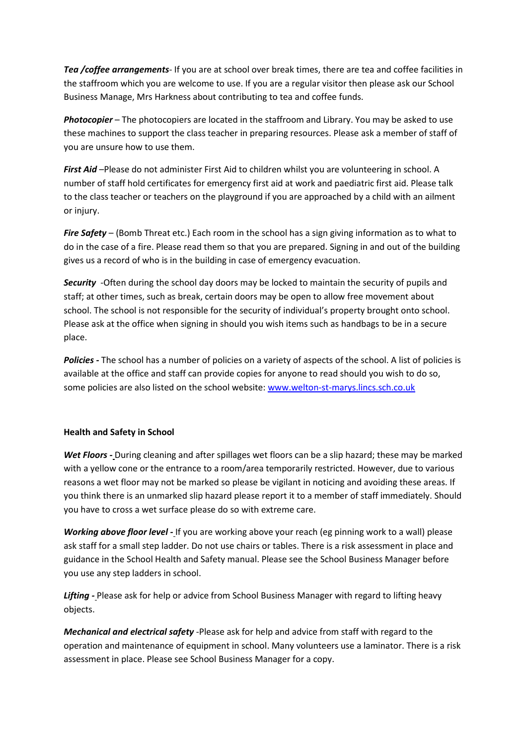*Tea /coffee arrangements*- If you are at school over break times, there are tea and coffee facilities in the staffroom which you are welcome to use. If you are a regular visitor then please ask our School Business Manage, Mrs Harkness about contributing to tea and coffee funds.

*Photocopier* – The photocopiers are located in the staffroom and Library. You may be asked to use these machines to support the class teacher in preparing resources. Please ask a member of staff of you are unsure how to use them.

*First Aid* –Please do not administer First Aid to children whilst you are volunteering in school. A number of staff hold certificates for emergency first aid at work and paediatric first aid. Please talk to the class teacher or teachers on the playground if you are approached by a child with an ailment or injury.

*Fire Safety* – (Bomb Threat etc.) Each room in the school has a sign giving information as to what to do in the case of a fire. Please read them so that you are prepared. Signing in and out of the building gives us a record of who is in the building in case of emergency evacuation.

*Security* -Often during the school day doors may be locked to maintain the security of pupils and staff; at other times, such as break, certain doors may be open to allow free movement about school. The school is not responsible for the security of individual's property brought onto school. Please ask at the office when signing in should you wish items such as handbags to be in a secure place.

*Policies -* The school has a number of policies on a variety of aspects of the school. A list of policies is available at the office and staff can provide copies for anyone to read should you wish to do so, some policies are also listed on the school website[: www.welton-st-marys.lincs.sch.co.uk](http://www.welton-st-marys.lincs.sch.co.uk/)

#### **Health and Safety in School**

*Wet Floors -* During cleaning and after spillages wet floors can be a slip hazard; these may be marked with a yellow cone or the entrance to a room/area temporarily restricted. However, due to various reasons a wet floor may not be marked so please be vigilant in noticing and avoiding these areas. If you think there is an unmarked slip hazard please report it to a member of staff immediately. Should you have to cross a wet surface please do so with extreme care.

*Working above floor level -* If you are working above your reach (eg pinning work to a wall) please ask staff for a small step ladder. Do not use chairs or tables. There is a risk assessment in place and guidance in the School Health and Safety manual. Please see the School Business Manager before you use any step ladders in school.

*Lifting -* Please ask for help or advice from School Business Manager with regard to lifting heavy objects.

*Mechanical and electrical safety* -Please ask for help and advice from staff with regard to the operation and maintenance of equipment in school. Many volunteers use a laminator. There is a risk assessment in place. Please see School Business Manager for a copy.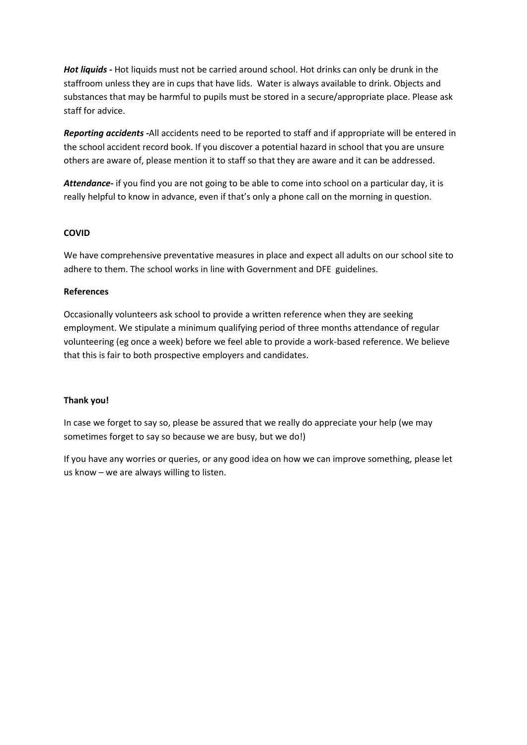*Hot liquids -* Hot liquids must not be carried around school. Hot drinks can only be drunk in the staffroom unless they are in cups that have lids. Water is always available to drink. Objects and substances that may be harmful to pupils must be stored in a secure/appropriate place. Please ask staff for advice.

*Reporting accidents -*All accidents need to be reported to staff and if appropriate will be entered in the school accident record book. If you discover a potential hazard in school that you are unsure others are aware of, please mention it to staff so that they are aware and it can be addressed.

*Attendance***-** if you find you are not going to be able to come into school on a particular day, it is really helpful to know in advance, even if that's only a phone call on the morning in question.

#### **COVID**

We have comprehensive preventative measures in place and expect all adults on our school site to adhere to them. The school works in line with Government and DFE guidelines.

#### **References**

Occasionally volunteers ask school to provide a written reference when they are seeking employment. We stipulate a minimum qualifying period of three months attendance of regular volunteering (eg once a week) before we feel able to provide a work-based reference. We believe that this is fair to both prospective employers and candidates.

#### **Thank you!**

In case we forget to say so, please be assured that we really do appreciate your help (we may sometimes forget to say so because we are busy, but we do!)

If you have any worries or queries, or any good idea on how we can improve something, please let us know – we are always willing to listen.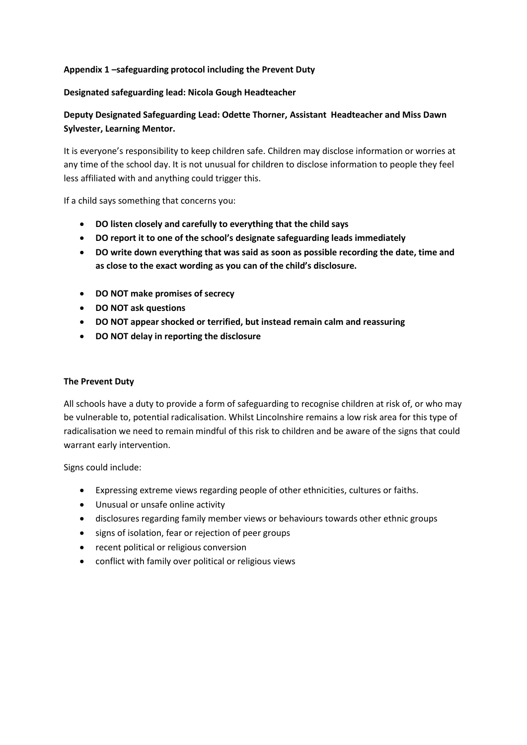#### **Appendix 1 –safeguarding protocol including the Prevent Duty**

#### **Designated safeguarding lead: Nicola Gough Headteacher**

#### **Deputy Designated Safeguarding Lead: Odette Thorner, Assistant Headteacher and Miss Dawn Sylvester, Learning Mentor.**

It is everyone's responsibility to keep children safe. Children may disclose information or worries at any time of the school day. It is not unusual for children to disclose information to people they feel less affiliated with and anything could trigger this.

If a child says something that concerns you:

- **DO listen closely and carefully to everything that the child says**
- **DO report it to one of the school's designate safeguarding leads immediately**
- **DO write down everything that was said as soon as possible recording the date, time and as close to the exact wording as you can of the child's disclosure.**
- **DO NOT make promises of secrecy**
- **DO NOT ask questions**
- **DO NOT appear shocked or terrified, but instead remain calm and reassuring**
- **DO NOT delay in reporting the disclosure**

#### **The Prevent Duty**

All schools have a duty to provide a form of safeguarding to recognise children at risk of, or who may be vulnerable to, potential radicalisation. Whilst Lincolnshire remains a low risk area for this type of radicalisation we need to remain mindful of this risk to children and be aware of the signs that could warrant early intervention.

Signs could include:

- Expressing extreme views regarding people of other ethnicities, cultures or faiths.
- Unusual or unsafe online activity
- disclosures regarding family member views or behaviours towards other ethnic groups
- signs of isolation, fear or rejection of peer groups
- recent political or religious conversion
- conflict with family over political or religious views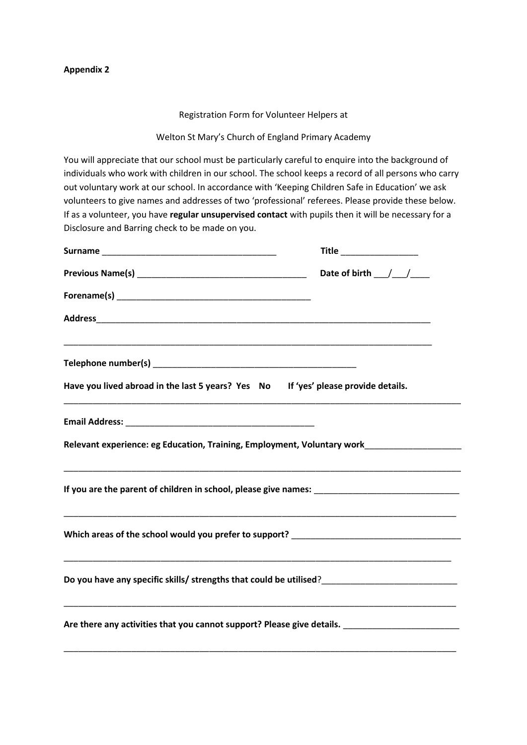Registration Form for Volunteer Helpers at

Welton St Mary's Church of England Primary Academy

You will appreciate that our school must be particularly careful to enquire into the background of individuals who work with children in our school. The school keeps a record of all persons who carry out voluntary work at our school. In accordance with 'Keeping Children Safe in Education' we ask volunteers to give names and addresses of two 'professional' referees. Please provide these below. If as a volunteer, you have **regular unsupervised contact** with pupils then it will be necessary for a Disclosure and Barring check to be made on you.

|                                                                                                                                                                     | Title                                       |  |  |
|---------------------------------------------------------------------------------------------------------------------------------------------------------------------|---------------------------------------------|--|--|
|                                                                                                                                                                     | Date of birth $\_\_\_\_\_\_\_\_\_\_\_\_\_\$ |  |  |
|                                                                                                                                                                     |                                             |  |  |
|                                                                                                                                                                     |                                             |  |  |
|                                                                                                                                                                     |                                             |  |  |
| Have you lived abroad in the last 5 years? Yes No If 'yes' please provide details.                                                                                  |                                             |  |  |
|                                                                                                                                                                     |                                             |  |  |
| Relevant experience: eg Education, Training, Employment, Voluntary work____________________________                                                                 |                                             |  |  |
|                                                                                                                                                                     |                                             |  |  |
|                                                                                                                                                                     |                                             |  |  |
| <u> 1989 - Johann Harry Harry Harry Harry Harry Harry Harry Harry Harry Harry Harry Harry Harry Harry Harry Harry</u>                                               |                                             |  |  |
| <u> 1989 - Johann Stoff, amerikansk politiker (d. 1989)</u><br>Are there any activities that you cannot support? Please give details. _____________________________ |                                             |  |  |

\_\_\_\_\_\_\_\_\_\_\_\_\_\_\_\_\_\_\_\_\_\_\_\_\_\_\_\_\_\_\_\_\_\_\_\_\_\_\_\_\_\_\_\_\_\_\_\_\_\_\_\_\_\_\_\_\_\_\_\_\_\_\_\_\_\_\_\_\_\_\_\_\_\_\_\_\_\_\_\_\_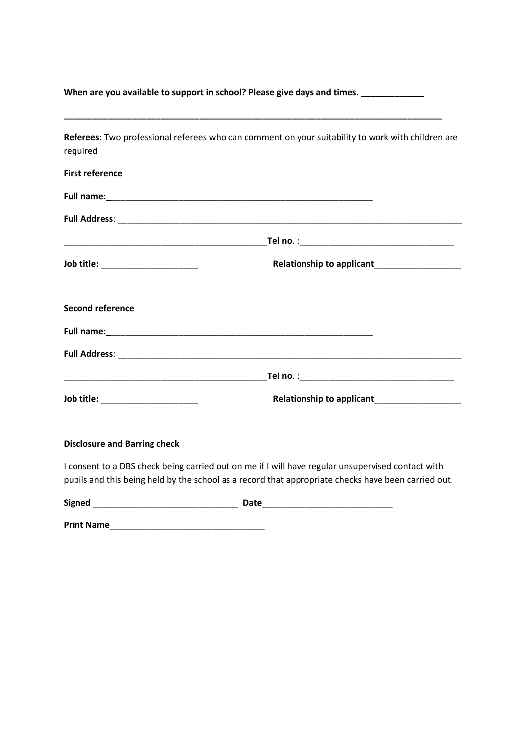| When are you available to support in school? Please give days and times. _____________ |                                                                                                                                                                    |  |  |  |
|----------------------------------------------------------------------------------------|--------------------------------------------------------------------------------------------------------------------------------------------------------------------|--|--|--|
| required                                                                               | <u> 1989 - Johann Barbara, markazar margolaria (h. 1989).</u><br>Referees: Two professional referees who can comment on your suitability to work with children are |  |  |  |
| <b>First reference</b>                                                                 |                                                                                                                                                                    |  |  |  |
|                                                                                        |                                                                                                                                                                    |  |  |  |
|                                                                                        |                                                                                                                                                                    |  |  |  |
|                                                                                        |                                                                                                                                                                    |  |  |  |
| Job title: ______________________                                                      | Relationship to applicant                                                                                                                                          |  |  |  |
| <b>Second reference</b>                                                                |                                                                                                                                                                    |  |  |  |
|                                                                                        |                                                                                                                                                                    |  |  |  |
|                                                                                        |                                                                                                                                                                    |  |  |  |
|                                                                                        |                                                                                                                                                                    |  |  |  |
| Job title: _____________________                                                       |                                                                                                                                                                    |  |  |  |
| <b>Disclosure and Barring check</b>                                                    |                                                                                                                                                                    |  |  |  |

I consent to a DBS check being carried out on me if I will have regular unsupervised contact with pupils and this being held by the school as a record that appropriate checks have been carried out.

| <b>Signed</b> | ан |  |
|---------------|----|--|
|               |    |  |

**Print Name**\_\_\_\_\_\_\_\_\_\_\_\_\_\_\_\_\_\_\_\_\_\_\_\_\_\_\_\_\_\_\_\_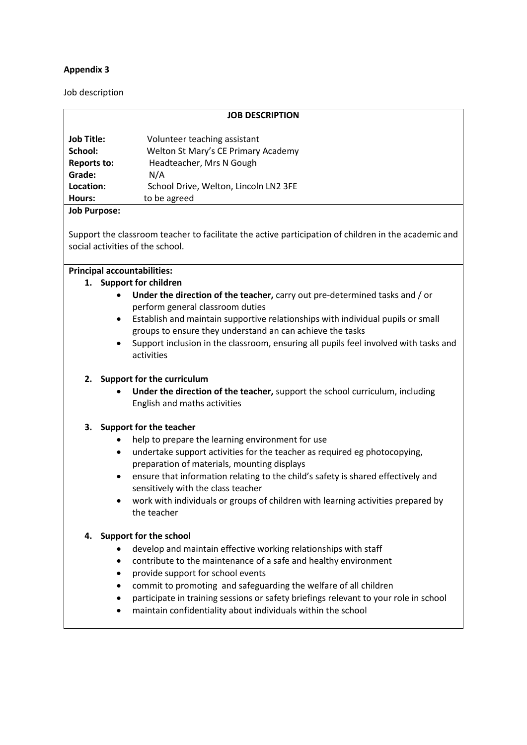Job description

|                    | <b>JOB DESCRIPTION</b>                |  |
|--------------------|---------------------------------------|--|
| <b>Job Title:</b>  | Volunteer teaching assistant          |  |
| School:            | Welton St Mary's CE Primary Academy   |  |
| <b>Reports to:</b> | Headteacher, Mrs N Gough              |  |
| Grade:             | N/A                                   |  |
| Location:          | School Drive, Welton, Lincoln LN2 3FE |  |
| Hours:             | to be agreed                          |  |
|                    |                                       |  |

#### **Job Purpose:**

Support the classroom teacher to facilitate the active participation of children in the academic and social activities of the school.

#### **Principal accountabilities:**

#### **1. Support for children**

- **Under the direction of the teacher,** carry out pre-determined tasks and / or perform general classroom duties
- Establish and maintain supportive relationships with individual pupils or small groups to ensure they understand an can achieve the tasks
- Support inclusion in the classroom, ensuring all pupils feel involved with tasks and activities

#### **2. Support for the curriculum**

• **Under the direction of the teacher,** support the school curriculum, including English and maths activities

#### **3. Support for the teacher**

- help to prepare the learning environment for use
- undertake support activities for the teacher as required eg photocopying, preparation of materials, mounting displays
- ensure that information relating to the child's safety is shared effectively and sensitively with the class teacher
- work with individuals or groups of children with learning activities prepared by the teacher

#### **4. Support for the school**

- develop and maintain effective working relationships with staff
- contribute to the maintenance of a safe and healthy environment
- provide support for school events
- commit to promoting and safeguarding the welfare of all children
- participate in training sessions or safety briefings relevant to your role in school
- maintain confidentiality about individuals within the school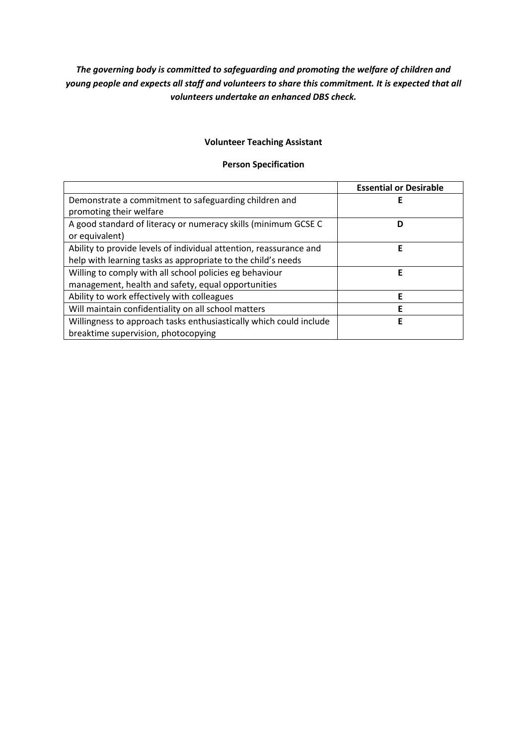#### *The governing body is committed to safeguarding and promoting the welfare of children and young people and expects all staff and volunteers to share this commitment. It is expected that all volunteers undertake an enhanced DBS check.*

#### **Volunteer Teaching Assistant**

#### **Person Specification**

|                                                                    | <b>Essential or Desirable</b> |
|--------------------------------------------------------------------|-------------------------------|
| Demonstrate a commitment to safeguarding children and              | Е                             |
| promoting their welfare                                            |                               |
| A good standard of literacy or numeracy skills (minimum GCSE C     | D                             |
| or equivalent)                                                     |                               |
| Ability to provide levels of individual attention, reassurance and | Е                             |
| help with learning tasks as appropriate to the child's needs       |                               |
| Willing to comply with all school policies eg behaviour            | F                             |
| management, health and safety, equal opportunities                 |                               |
| Ability to work effectively with colleagues                        | Е                             |
| Will maintain confidentiality on all school matters                | F                             |
| Willingness to approach tasks enthusiastically which could include | F                             |
| breaktime supervision, photocopying                                |                               |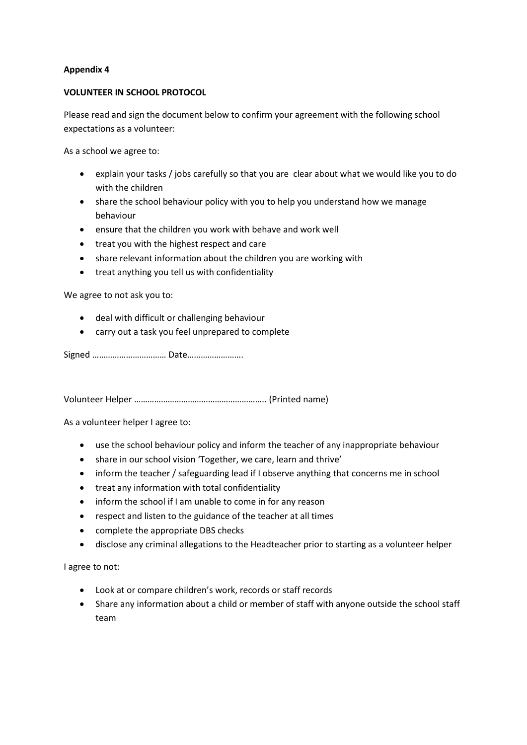#### **VOLUNTEER IN SCHOOL PROTOCOL**

Please read and sign the document below to confirm your agreement with the following school expectations as a volunteer:

As a school we agree to:

- explain your tasks / jobs carefully so that you are clear about what we would like you to do with the children
- share the school behaviour policy with you to help you understand how we manage behaviour
- ensure that the children you work with behave and work well
- treat you with the highest respect and care
- share relevant information about the children you are working with
- treat anything you tell us with confidentiality

We agree to not ask you to:

- deal with difficult or challenging behaviour
- carry out a task you feel unprepared to complete

Signed …………………………… Date…………………….

Volunteer Helper ………………………………………………….. (Printed name)

As a volunteer helper I agree to:

- use the school behaviour policy and inform the teacher of any inappropriate behaviour
- share in our school vision 'Together, we care, learn and thrive'
- inform the teacher / safeguarding lead if I observe anything that concerns me in school
- treat any information with total confidentiality
- inform the school if I am unable to come in for any reason
- respect and listen to the guidance of the teacher at all times
- complete the appropriate DBS checks
- disclose any criminal allegations to the Headteacher prior to starting as a volunteer helper

I agree to not:

- Look at or compare children's work, records or staff records
- Share any information about a child or member of staff with anyone outside the school staff team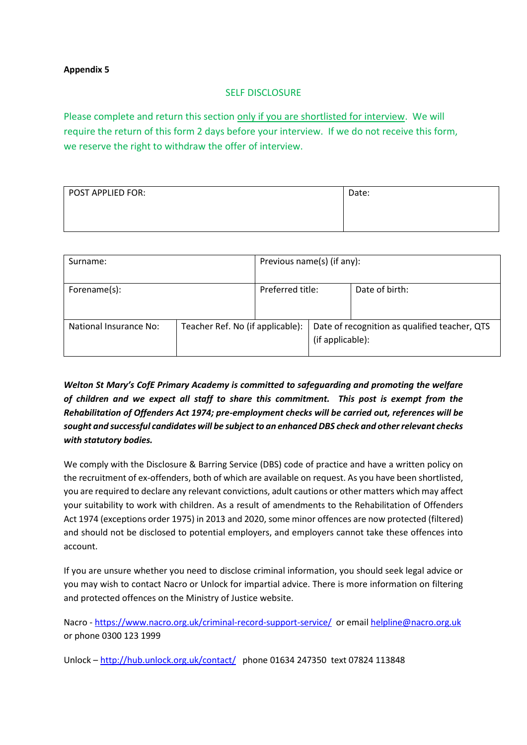#### SELF DISCLOSURE

Please complete and return this section only if you are shortlisted for interview. We will require the return of this form 2 days before your interview. If we do not receive this form, we reserve the right to withdraw the offer of interview.

| POST APPLIED FOR: | Date: |
|-------------------|-------|
|                   |       |

| Surname:               |                                  | Previous name(s) (if any): |                                                                   |                |
|------------------------|----------------------------------|----------------------------|-------------------------------------------------------------------|----------------|
| Forename(s):           |                                  | Preferred title:           |                                                                   | Date of birth: |
| National Insurance No: | Teacher Ref. No (if applicable): |                            | Date of recognition as qualified teacher, QTS<br>(if applicable): |                |

*Welton St Mary's CofE Primary Academy is committed to safeguarding and promoting the welfare of children and we expect all staff to share this commitment. This post is exempt from the Rehabilitation of Offenders Act 1974; pre-employment checks will be carried out, references will be sought and successful candidates will be subject to an enhanced DBS check and other relevant checks with statutory bodies.* 

We comply with the Disclosure & Barring Service (DBS) code of practice and have a written policy on the recruitment of ex-offenders, both of which are available on request. As you have been shortlisted, you are required to declare any relevant convictions, adult cautions or other matters which may affect your suitability to work with children. As a result of amendments to the Rehabilitation of Offenders Act 1974 (exceptions order 1975) in 2013 and 2020, some minor offences are now protected (filtered) and should not be disclosed to potential employers, and employers cannot take these offences into account.

If you are unsure whether you need to disclose criminal information, you should seek legal advice or you may wish to contact Nacro or Unlock for impartial advice. There is more information on filtering and protected offences on the Ministry of Justice website.

Nacro - <https://www.nacro.org.uk/criminal-record-support-service/>or emai[l helpline@nacro.org.uk](mailto:helpline@nacro.org.uk) or phone 0300 123 1999

Unlock – <http://hub.unlock.org.uk/contact/>phone 01634 247350 text 07824 113848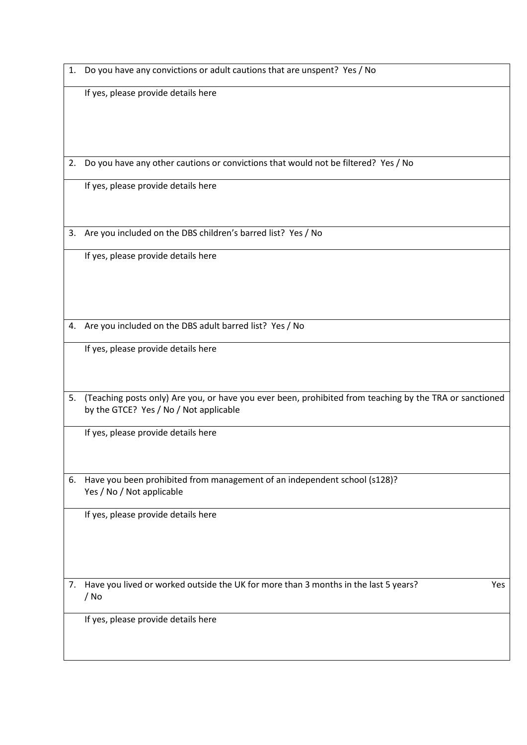1. Do you have any convictions or adult cautions that are unspent? Yes / No

If yes, please provide details here

2. Do you have any other cautions or convictions that would not be filtered? Yes / No

If yes, please provide details here

3. Are you included on the DBS children's barred list? Yes / No

If yes, please provide details here

4. Are you included on the DBS adult barred list? Yes / No

If yes, please provide details here

5. (Teaching posts only) Are you, or have you ever been, prohibited from teaching by the TRA or sanctioned by the GTCE? Yes / No / Not applicable

If yes, please provide details here

6. Have you been prohibited from management of an independent school (s128)? Yes / No / Not applicable

If yes, please provide details here

7. Have you lived or worked outside the UK for more than 3 months in the last 5 years? Yes / No

If yes, please provide details here